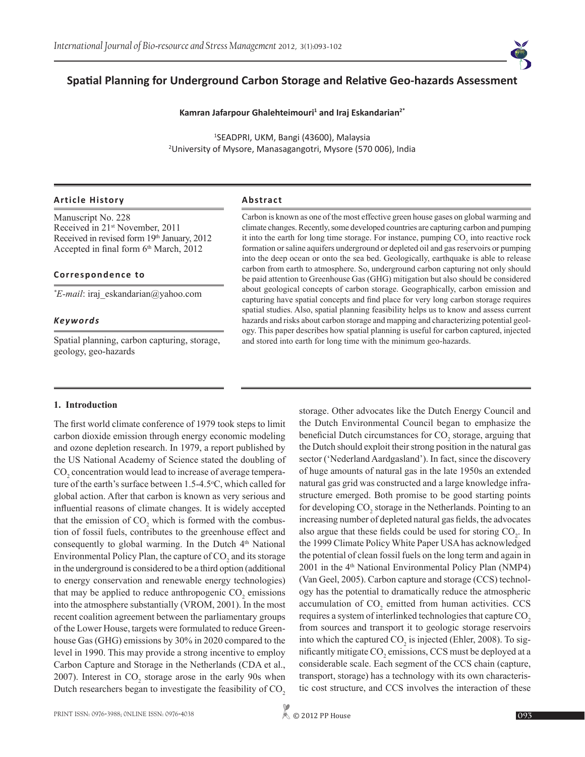# **Spatial Planning for Underground Carbon Storage and Relative Geo-hazards Assessment**

## **Kamran Jafarpour Ghalehteimouri<sup>1</sup> and Iraj Eskandarian2\***

1 SEADPRI, UKM, Bangi (43600), Malaysia 2 University of Mysore, Manasagangotri, Mysore (570 006), India

## **Article History Abstract**

Manuscript No. 228 Received in 21st November, 2011 Received in revised form 19th January, 2012 Accepted in final form  $6<sup>th</sup> March$ , 2012

## **Correspondence to**

*\* E-mail*: iraj\_eskandarian@yahoo.com

### *Keywords*

Spatial planning, carbon capturing, storage, geology, geo-hazards

Carbon is known as one of the most effective green house gases on global warming and climate changes. Recently, some developed countries are capturing carbon and pumping it into the earth for long time storage. For instance, pumping  $CO<sub>2</sub>$  into reactive rock formation or saline aquifers underground or depleted oil and gas reservoirs or pumping into the deep ocean or onto the sea bed. Geologically, earthquake is able to release carbon from earth to atmosphere. So, underground carbon capturing not only should be paid attention to Greenhouse Gas (GHG) mitigation but also should be considered about geological concepts of carbon storage. Geographically, carbon emission and capturing have spatial concepts and find place for very long carbon storage requires spatial studies. Also, spatial planning feasibility helps us to know and assess current hazards and risks about carbon storage and mapping and characterizing potential geology. This paper describes how spatial planning is useful for carbon captured, injected and stored into earth for long time with the minimum geo-hazards.

## **1. Introduction**

The first world climate conference of 1979 took steps to limit carbon dioxide emission through energy economic modeling and ozone depletion research. In 1979, a report published by the US National Academy of Science stated the doubling of  $\mathrm{CO}_2$  concentration would lead to increase of average temperature of the earth's surface between 1.5-4.5 °C, which called for global action. After that carbon is known as very serious and influential reasons of climate changes. It is widely accepted that the emission of  $CO_2$  which is formed with the combustion of fossil fuels, contributes to the greenhouse effect and consequently to global warming. In the Dutch  $4<sup>th</sup>$  National Environmental Policy Plan, the capture of  $CO<sub>2</sub>$  and its storage in the underground is considered to be a third option (additional to energy conservation and renewable energy technologies) that may be applied to reduce anthropogenic  $CO<sub>2</sub>$  emissions into the atmosphere substantially (VROM, 2001). In the most recent coalition agreement between the parliamentary groups of the Lower House, targets were formulated to reduce Greenhouse Gas (GHG) emissions by 30% in 2020 compared to the level in 1990. This may provide a strong incentive to employ Carbon Capture and Storage in the Netherlands (CDA et al., 2007). Interest in  $CO_2$  storage arose in the early 90s when Dutch researchers began to investigate the feasibility of CO<sub>2</sub>

storage. Other advocates like the Dutch Energy Council and the Dutch Environmental Council began to emphasize the beneficial Dutch circumstances for  $CO_2$  storage, arguing that the Dutch should exploit their strong position in the natural gas sector ('Nederland Aardgasland'). In fact, since the discovery of huge amounts of natural gas in the late 1950s an extended natural gas grid was constructed and a large knowledge infrastructure emerged. Both promise to be good starting points for developing  $CO_2$  storage in the Netherlands. Pointing to an increasing number of depleted natural gas fields, the advocates also argue that these fields could be used for storing  $CO<sub>2</sub>$ . In the 1999 Climate Policy White Paper USA has acknowledged the potential of clean fossil fuels on the long term and again in 2001 in the 4<sup>th</sup> National Environmental Policy Plan (NMP4) (Van Geel, 2005). Carbon capture and storage (CCS) technology has the potential to dramatically reduce the atmospheric accumulation of  $CO<sub>2</sub>$  emitted from human activities. CCS requires a system of interlinked technologies that capture CO<sub>2</sub> from sources and transport it to geologic storage reservoirs into which the captured  $CO_2$  is injected (Ehler, 2008). To significantly mitigate  $CO_2$  emissions, CCS must be deployed at a considerable scale. Each segment of the CCS chain (capture, transport, storage) has a technology with its own characteristic cost structure, and CCS involves the interaction of these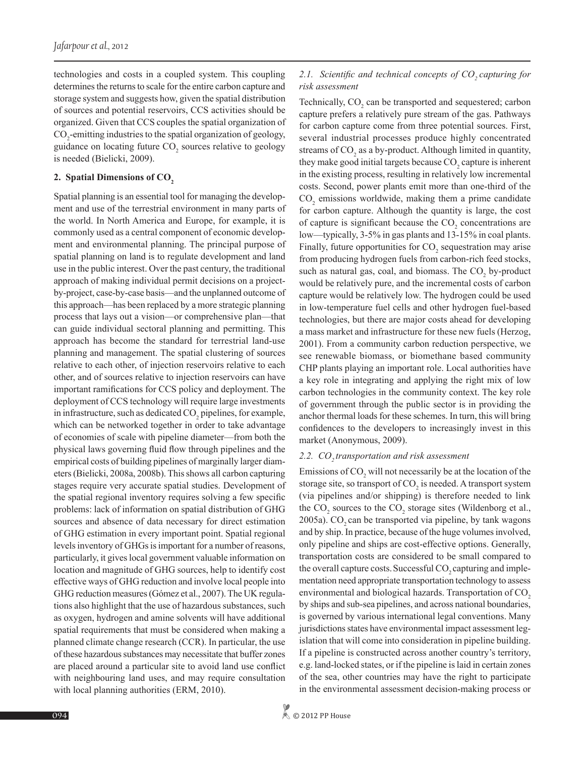technologies and costs in a coupled system. This coupling determines the returns to scale for the entire carbon capture and storage system and suggests how, given the spatial distribution of sources and potential reservoirs, CCS activities should be organized. Given that CCS couples the spatial organization of CO<sub>2</sub>-emitting industries to the spatial organization of geology, guidance on locating future  $CO_2$  sources relative to geology is needed (Bielicki, 2009).

## 2. Spatial Dimensions of CO<sub>2</sub>

Spatial planning is an essential tool for managing the development and use of the terrestrial environment in many parts of the world. In North America and Europe, for example, it is commonly used as a central component of economic development and environmental planning. The principal purpose of spatial planning on land is to regulate development and land use in the public interest. Over the past century, the traditional approach of making individual permit decisions on a projectby-project, case-by-case basis—and the unplanned outcome of this approach—has been replaced by a more strategic planning process that lays out a vision—or comprehensive plan—that can guide individual sectoral planning and permitting. This approach has become the standard for terrestrial land-use planning and management. The spatial clustering of sources relative to each other, of injection reservoirs relative to each other, and of sources relative to injection reservoirs can have important ramifications for CCS policy and deployment. The deployment of CCS technology will require large investments in infrastructure, such as dedicated  $CO<sub>2</sub>$  pipelines, for example, which can be networked together in order to take advantage of economies of scale with pipeline diameter—from both the physical laws governing fluid flow through pipelines and the empirical costs of building pipelines of marginally larger diameters (Bielicki, 2008a, 2008b). This shows all carbon capturing stages require very accurate spatial studies. Development of the spatial regional inventory requires solving a few specific problems: lack of information on spatial distribution of GHG sources and absence of data necessary for direct estimation of GHG estimation in every important point. Spatial regional levels inventory of GHGs is important for a number of reasons, particularly, it gives local government valuable information on location and magnitude of GHG sources, help to identify cost effective ways of GHG reduction and involve local people into GHG reduction measures (Gómez et al., 2007). The UK regulations also highlight that the use of hazardous substances, such as oxygen, hydrogen and amine solvents will have additional spatial requirements that must be considered when making a planned climate change research (CCR). In particular, the use of these hazardous substances may necessitate that buffer zones are placed around a particular site to avoid land use conflict with neighbouring land uses, and may require consultation with local planning authorities (ERM, 2010).

# 2.1. Scientific and technical concepts of CO<sub>2</sub> capturing for *risk assessment*

Technically,  $CO_2$  can be transported and sequestered; carbon capture prefers a relatively pure stream of the gas. Pathways for carbon capture come from three potential sources. First, several industrial processes produce highly concentrated streams of  $CO<sub>2</sub>$  as a by-product. Although limited in quantity, they make good initial targets because  $CO_2$  capture is inherent in the existing process, resulting in relatively low incremental costs. Second, power plants emit more than one-third of the  $CO<sub>2</sub>$  emissions worldwide, making them a prime candidate for carbon capture. Although the quantity is large, the cost of capture is significant because the  $CO<sub>2</sub>$  concentrations are low—typically, 3-5% in gas plants and 13-15% in coal plants. Finally, future opportunities for  $CO<sub>2</sub>$  sequestration may arise from producing hydrogen fuels from carbon-rich feed stocks, such as natural gas, coal, and biomass. The  $CO<sub>2</sub>$  by-product would be relatively pure, and the incremental costs of carbon capture would be relatively low. The hydrogen could be used in low-temperature fuel cells and other hydrogen fuel-based technologies, but there are major costs ahead for developing a mass market and infrastructure for these new fuels (Herzog, 2001). From a community carbon reduction perspective, we see renewable biomass, or biomethane based community CHP plants playing an important role. Local authorities have a key role in integrating and applying the right mix of low carbon technologies in the community context. The key role of government through the public sector is in providing the anchor thermal loads for these schemes. In turn, this will bring confidences to the developers to increasingly invest in this market (Anonymous, 2009).

## 2.2. CO<sub>2</sub> transportation and risk assessment

Emissions of  $CO_2$  will not necessarily be at the location of the storage site, so transport of  $\mathrm{CO}_2$  is needed. A transport system (via pipelines and/or shipping) is therefore needed to link the  $CO_2$  sources to the  $CO_2$  storage sites (Wildenborg et al.,  $2005a$ ). CO<sub>2</sub> can be transported via pipeline, by tank wagons and by ship. In practice, because of the huge volumes involved, only pipeline and ships are cost-effective options. Generally, transportation costs are considered to be small compared to the overall capture costs. Successful CO<sub>2</sub> capturing and implementation need appropriate transportation technology to assess environmental and biological hazards. Transportation of CO<sub>2</sub> by ships and sub-sea pipelines, and across national boundaries, is governed by various international legal conventions. Many jurisdictions states have environmental impact assessment legislation that will come into consideration in pipeline building. If a pipeline is constructed across another country's territory, e.g. land-locked states, or if the pipeline is laid in certain zones of the sea, other countries may have the right to participate in the environmental assessment decision-making process or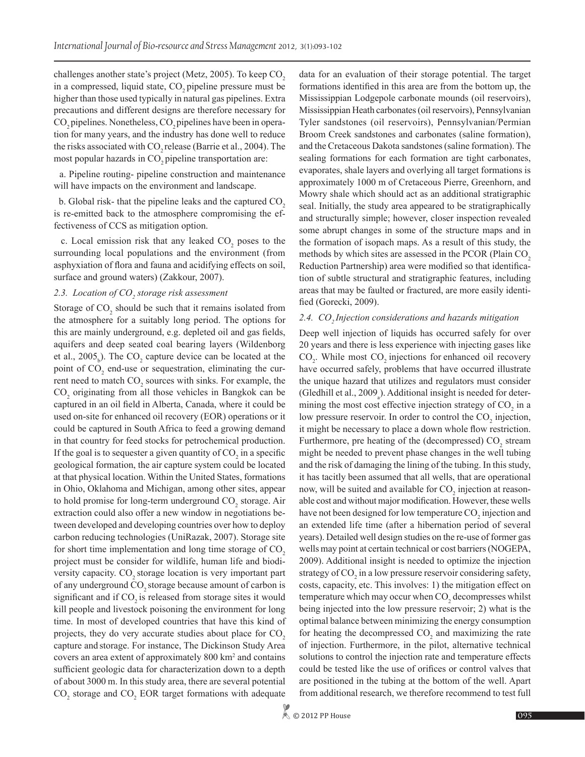challenges another state's project (Metz, 2005). To keep  $CO<sub>2</sub>$ in a compressed, liquid state, CO<sub>2</sub> pipeline pressure must be higher than those used typically in natural gas pipelines. Extra precautions and different designs are therefore necessary for CO<sub>2</sub> pipelines. Nonetheless, CO<sub>2</sub> pipelines have been in operation for many years, and the industry has done well to reduce the risks associated with  $CO<sub>2</sub>$  release (Barrie et al., 2004). The most popular hazards in  $CO_2$  pipeline transportation are:

 a. Pipeline routing- pipeline construction and maintenance will have impacts on the environment and landscape.

b. Global risk- that the pipeline leaks and the captured  $CO<sub>2</sub>$ is re-emitted back to the atmosphere compromising the effectiveness of CCS as mitigation option.

c. Local emission risk that any leaked  $CO<sub>2</sub>$  poses to the surrounding local populations and the environment (from asphyxiation of flora and fauna and acidifying effects on soil, surface and ground waters) (Zakkour, 2007).

# 2.3. Location of CO<sub>2</sub> storage risk assessment

Storage of  $CO_2$  should be such that it remains isolated from the atmosphere for a suitably long period. The options for this are mainly underground, e.g. depleted oil and gas fields, aquifers and deep seated coal bearing layers (Wildenborg et al.,  $2005<sub>b</sub>$ ). The CO<sub>2</sub> capture device can be located at the point of  $CO<sub>2</sub>$  end-use or sequestration, eliminating the current need to match  $CO_2$  sources with sinks. For example, the  $CO<sub>2</sub>$  originating from all those vehicles in Bangkok can be captured in an oil field in Alberta, Canada, where it could be used on-site for enhanced oil recovery (EOR) operations or it could be captured in South Africa to feed a growing demand in that country for feed stocks for petrochemical production. If the goal is to sequester a given quantity of  $CO_2$  in a specific geological formation, the air capture system could be located at that physical location. Within the United States, formations in Ohio, Oklahoma and Michigan, among other sites, appear to hold promise for long-term underground  $CO_2$  storage. Air extraction could also offer a new window in negotiations between developed and developing countries over how to deploy carbon reducing technologies (UniRazak, 2007). Storage site for short time implementation and long time storage of  $CO<sub>2</sub>$ project must be consider for wildlife, human life and biodiversity capacity. CO<sub>2</sub> storage location is very important part of any underground CO<sub>2</sub> storage because amount of carbon is significant and if CO<sub>2</sub> is released from storage sites it would kill people and livestock poisoning the environment for long time. In most of developed countries that have this kind of projects, they do very accurate studies about place for  $CO<sub>2</sub>$ capture and storage. For instance, The Dickinson Study Area covers an area extent of approximately 800 km<sup>2</sup> and contains sufficient geologic data for characterization down to a depth of about 3000 m. In this study area, there are several potential  $CO<sub>2</sub>$  storage and  $CO<sub>2</sub>$  EOR target formations with adequate data for an evaluation of their storage potential. The target formations identified in this area are from the bottom up, the Mississippian Lodgepole carbonate mounds (oil reservoirs), Mississippian Heath carbonates (oil reservoirs), Pennsylvanian Tyler sandstones (oil reservoirs), Pennsylvanian/Permian Broom Creek sandstones and carbonates (saline formation), and the Cretaceous Dakota sandstones (saline formation). The sealing formations for each formation are tight carbonates, evaporates, shale layers and overlying all target formations is approximately 1000 m of Cretaceous Pierre, Greenhorn, and Mowry shale which should act as an additional stratigraphic seal. Initially, the study area appeared to be stratigraphically and structurally simple; however, closer inspection revealed some abrupt changes in some of the structure maps and in the formation of isopach maps. As a result of this study, the methods by which sites are assessed in the PCOR (Plain CO<sub>2</sub>) Reduction Partnership) area were modified so that identification of subtle structural and stratigraphic features, including areas that may be faulted or fractured, are more easily identified (Gorecki, 2009).

#### 2.4. CO<sub>2</sub> Injection considerations and hazards mitigation

Deep well injection of liquids has occurred safely for over 20 years and there is less experience with injecting gases like  $CO<sub>2</sub>$ . While most  $CO<sub>2</sub>$  injections for enhanced oil recovery have occurred safely, problems that have occurred illustrate the unique hazard that utilizes and regulators must consider (Gledhill et al.,  $2009_a$ ). Additional insight is needed for determining the most cost effective injection strategy of  $CO<sub>2</sub>$  in a low pressure reservoir. In order to control the  $CO<sub>2</sub>$  injection, it might be necessary to place a down whole flow restriction. Furthermore, pre heating of the (decompressed)  $CO_2$  stream might be needed to prevent phase changes in the well tubing and the risk of damaging the lining of the tubing. In this study, it has tacitly been assumed that all wells, that are operational now, will be suited and available for  $CO_2$  injection at reasonable cost and without major modification. However, these wells have not been designed for low temperature  $CO<sub>2</sub>$  injection and an extended life time (after a hibernation period of several years). Detailed well design studies on the re-use of former gas wells may point at certain technical or cost barriers (NOGEPA, 2009). Additional insight is needed to optimize the injection strategy of  $CO_2$  in a low pressure reservoir considering safety, costs, capacity, etc. This involves: 1) the mitigation effect on temperature which may occur when  $CO<sub>2</sub>$  decompresses whilst being injected into the low pressure reservoir; 2) what is the optimal balance between minimizing the energy consumption for heating the decompressed  $CO<sub>2</sub>$  and maximizing the rate of injection. Furthermore, in the pilot, alternative technical solutions to control the injection rate and temperature effects could be tested like the use of orifices or control valves that are positioned in the tubing at the bottom of the well. Apart from additional research, we therefore recommend to test full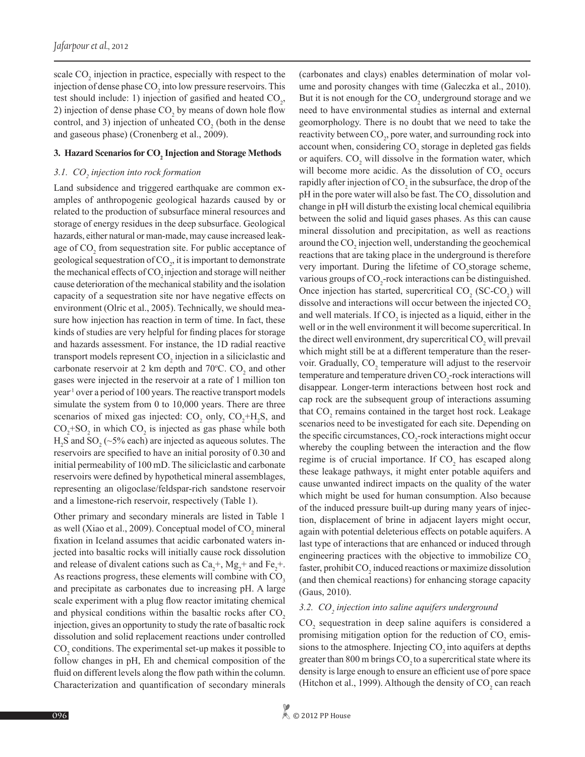scale  $CO<sub>2</sub>$  injection in practice, especially with respect to the injection of dense phase  $CO<sub>2</sub>$  into low pressure reservoirs. This test should include: 1) injection of gasified and heated  $CO<sub>2</sub>$ , 2) injection of dense phase  $CO<sub>2</sub>$  by means of down hole flow control, and 3) injection of unheated  $CO<sub>2</sub>$  (both in the dense and gaseous phase) (Cronenberg et al., 2009).

# **3. Hazard Scenarios for**  $\text{CO}_2$  **Injection and Storage Methods**

# 3.1. CO<sub>2</sub> injection into rock formation

Land subsidence and triggered earthquake are common examples of anthropogenic geological hazards caused by or related to the production of subsurface mineral resources and storage of energy residues in the deep subsurface. Geological hazards, either natural or man-made, may cause increased leakage of  $CO<sub>2</sub>$  from sequestration site. For public acceptance of geological sequestration of  $CO<sub>2</sub>$ , it is important to demonstrate the mechanical effects of CO<sub>2</sub> injection and storage will neither cause deterioration of the mechanical stability and the isolation capacity of a sequestration site nor have negative effects on environment (Olric et al., 2005). Technically, we should measure how injection has reaction in term of time. In fact, these kinds of studies are very helpful for finding places for storage and hazards assessment. For instance, the 1D radial reactive transport models represent  $CO_2$  injection in a siliciclastic and carbonate reservoir at 2 km depth and  $70^{\circ}$ C. CO<sub>2</sub> and other gases were injected in the reservoir at a rate of 1 million ton year-1 over a period of 100 years. The reactive transport models simulate the system from 0 to 10,000 years. There are three scenarios of mixed gas injected:  $CO_2$  only,  $CO_2^+H_2S$ , and  $CO_2$ +SO<sub>2</sub> in which  $CO_2$  is injected as gas phase while both  $H<sub>2</sub>S$  and  $SO<sub>2</sub>(\sim 5\%$  each) are injected as aqueous solutes. The reservoirs are specified to have an initial porosity of 0.30 and initial permeability of 100 mD. The siliciclastic and carbonate reservoirs were defined by hypothetical mineral assemblages, representing an oligoclase/feldspar-rich sandstone reservoir and a limestone-rich reservoir, respectively (Table 1).

Other primary and secondary minerals are listed in Table 1 as well (Xiao et al., 2009). Conceptual model of  $CO_2$  mineral fixation in Iceland assumes that acidic carbonated waters injected into basaltic rocks will initially cause rock dissolution and release of divalent cations such as  $Ca<sub>2</sub>^+$ ,  $Mg<sub>2</sub>^+$  and  $Fe<sub>2</sub>^+$ . As reactions progress, these elements will combine with  $CO<sub>3</sub>$ and precipitate as carbonates due to increasing pH. A large scale experiment with a plug flow reactor imitating chemical and physical conditions within the basaltic rocks after  $CO<sub>2</sub>$ injection, gives an opportunity to study the rate of basaltic rock dissolution and solid replacement reactions under controlled  $\text{CO}_2$  conditions. The experimental set-up makes it possible to follow changes in pH, Eh and chemical composition of the fluid on different levels along the flow path within the column. Characterization and quantification of secondary minerals

(carbonates and clays) enables determination of molar volume and porosity changes with time (Galeczka et al., 2010). But it is not enough for the  $CO_2$  underground storage and we need to have environmental studies as internal and external geomorphology. There is no doubt that we need to take the reactivity between CO<sub>2</sub>, pore water, and surrounding rock into account when, considering CO<sub>2</sub> storage in depleted gas fields or aquifers. CO<sub>2</sub> will dissolve in the formation water, which will become more acidic. As the dissolution of  $CO<sub>2</sub>$  occurs rapidly after injection of  $CO<sub>2</sub>$  in the subsurface, the drop of the pH in the pore water will also be fast. The CO<sub>2</sub> dissolution and change in pH will disturb the existing local chemical equilibria between the solid and liquid gases phases. As this can cause mineral dissolution and precipitation, as well as reactions around the CO<sub>2</sub> injection well, understanding the geochemical reactions that are taking place in the underground is therefore very important. During the lifetime of  $CO_2$ storage scheme, various groups of  $CO_2$ -rock interactions can be distinguished. Once injection has started, supercritical  $CO_2$  (SC-CO<sub>2</sub>) will dissolve and interactions will occur between the injected  $CO<sub>2</sub>$ and well materials. If  $CO<sub>2</sub>$  is injected as a liquid, either in the well or in the well environment it will become supercritical. In the direct well environment, dry supercritical  $CO_2$  will prevail which might still be at a different temperature than the reservoir. Gradually,  $CO_2$  temperature will adjust to the reservoir temperature and temperature driven CO<sub>2</sub>-rock interactions will disappear. Longer-term interactions between host rock and cap rock are the subsequent group of interactions assuming that  $CO_2$  remains contained in the target host rock. Leakage scenarios need to be investigated for each site. Depending on the specific circumstances,  $CO_2$ -rock interactions might occur whereby the coupling between the interaction and the flow regime is of crucial importance. If  $CO<sub>2</sub>$  has escaped along these leakage pathways, it might enter potable aquifers and cause unwanted indirect impacts on the quality of the water which might be used for human consumption. Also because of the induced pressure built-up during many years of injection, displacement of brine in adjacent layers might occur, again with potential deleterious effects on potable aquifers. A last type of interactions that are enhanced or induced through engineering practices with the objective to immobilize  $CO<sub>2</sub>$ faster, prohibit  $\mathrm{CO}_2$  induced reactions or maximize dissolution (and then chemical reactions) for enhancing storage capacity (Gaus, 2010).

# 3.2. CO<sub>2</sub> injection into saline aquifers underground

 $CO<sub>2</sub>$  sequestration in deep saline aquifers is considered a promising mitigation option for the reduction of  $CO_2$  emissions to the atmosphere. Injecting CO<sub>2</sub> into aquifers at depths greater than  $800$  m brings  $CO<sub>2</sub>$  to a supercritical state where its density is large enough to ensure an efficient use of pore space (Hitchon et al., 1999). Although the density of  $CO_2$  can reach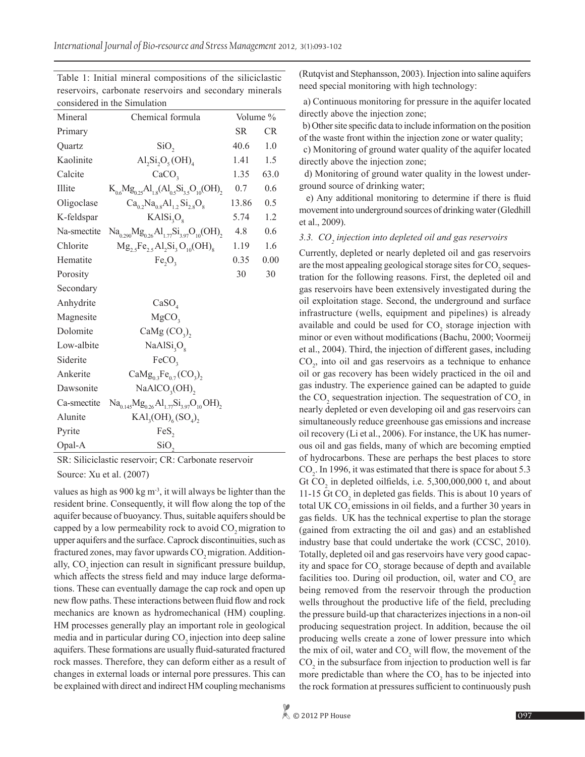Table 1: Initial mineral compositions of the siliciclastic reservoirs, carbonate reservoirs and secondary minerals considered in the Simulation

| Mineral     | Chemical formula                                             | Volume %  |           |
|-------------|--------------------------------------------------------------|-----------|-----------|
| Primary     |                                                              | <b>SR</b> | <b>CR</b> |
| Quartz      | SiO <sub>2</sub>                                             | 40.6      | 1.0       |
| Kaolinite   | $\text{Al}_2\text{Si}_2\text{O}_5(\text{OH})_4$              | 1.41      | 1.5       |
| Calcite     | CaCO <sub>3</sub>                                            | 1.35      | 63.0      |
| Illite      | $K_{0.6}Mg_{0.25}Al_{1.8}(Al_{0.5}Si_{3.5}O_{10}(OH)_{2})$   | 0.7       | 0.6       |
| Oligoclase  | $Ca_{0.2}Na_{0.8}Al_{1.2}Si_{2.8}O_{8}$                      | 13.86     | 0.5       |
| K-feldspar  | KAlSi <sub>3</sub> O <sub>s</sub>                            | 5.74      | 1.2       |
| Na-smectite | $Na_{0.290}Mg_{0.26}Al_{1.77}Si_{3.97}O_{10}(OH)$            | 4.8       | 0.6       |
| Chlorite    | $Mg_{2,5}Fe_{2,5}Al_{2}Si_{3}O_{10}(OH)_{8}$                 | 1.19      | 1.6       |
| Hematite    | $Fe_2O_3$                                                    | 0.35      | 0.00      |
| Porosity    |                                                              | 30        | 30        |
| Secondary   |                                                              |           |           |
| Anhydrite   | CaSO <sub>4</sub>                                            |           |           |
| Magnesite   | MgCO <sub>3</sub>                                            |           |           |
| Dolomite    | CaMg $(CO3)$ ,                                               |           |           |
| Low-albite  | NaAlSi <sub>3</sub> O <sub>8</sub>                           |           |           |
| Siderite    | FeCO <sub>3</sub>                                            |           |           |
| Ankerite    | $CaMg_{03}Fe_{07}(CO_3),$                                    |           |           |
| Dawsonite   | $NaAlCO3(OH)$ ,                                              |           |           |
| Ca-smectite | $Na_{0.145}Mg_{0.26}Al_{1.77}Si_{3.97}O_{10}OH$ <sub>2</sub> |           |           |
| Alunite     | $\text{KAI}_{3}(\text{OH})_{6}(\text{SO}_{4})_{2}$           |           |           |
| Pyrite      | FeS,                                                         |           |           |
| Opal-A      | SiO <sub>2</sub>                                             |           |           |

SR: Siliciclastic reservoir; CR: Carbonate reservoir Source: Xu et al. (2007)

values as high as 900 kg  $m<sup>3</sup>$ , it will always be lighter than the resident brine. Consequently, it will flow along the top of the aquifer because of buoyancy. Thus, suitable aquifers should be capped by a low permeability rock to avoid  $CO$ , migration to upper aquifers and the surface. Caprock discontinuities, such as fractured zones, may favor upwards CO<sub>2</sub> migration. Additionally, CO<sub>2</sub> injection can result in significant pressure buildup, which affects the stress field and may induce large deformations. These can eventually damage the cap rock and open up new flow paths. These interactions between fluid flow and rock mechanics are known as hydromechanical (HM) coupling. HM processes generally play an important role in geological media and in particular during CO<sub>2</sub> injection into deep saline aquifers. These formations are usually fluid-saturated fractured rock masses. Therefore, they can deform either as a result of changes in external loads or internal pore pressures. This can be explained with direct and indirect HM coupling mechanisms

(Rutqvist and Stephansson, 2003). Injection into saline aquifers need special monitoring with high technology:

 a) Continuous monitoring for pressure in the aquifer located directly above the injection zone;

 b) Other site specific data to include information on the position of the waste front within the injection zone or water quality;

 c) Monitoring of ground water quality of the aquifer located directly above the injection zone;

 d) Monitoring of ground water quality in the lowest underground source of drinking water;

 e) Any additional monitoring to determine if there is fluid movement into underground sources of drinking water (Gledhill et al., 2009).

# 3.3. CO<sub>2</sub> injection into depleted oil and gas reservoirs

Currently, depleted or nearly depleted oil and gas reservoirs are the most appealing geological storage sites for  $\mathrm{CO}_2$  sequestration for the following reasons. First, the depleted oil and gas reservoirs have been extensively investigated during the oil exploitation stage. Second, the underground and surface infrastructure (wells, equipment and pipelines) is already available and could be used for  $CO_2$  storage injection with minor or even without modifications (Bachu, 2000; Voormeij et al., 2004). Third, the injection of different gases, including  $CO<sub>2</sub>$ , into oil and gas reservoirs as a technique to enhance oil or gas recovery has been widely practiced in the oil and gas industry. The experience gained can be adapted to guide the  $CO_2$  sequestration injection. The sequestration of  $CO_2$  in nearly depleted or even developing oil and gas reservoirs can simultaneously reduce greenhouse gas emissions and increase oil recovery (Li et al., 2006). For instance, the UK has numerous oil and gas fields, many of which are becoming emptied of hydrocarbons. These are perhaps the best places to store  $CO<sub>2</sub>$ . In 1996, it was estimated that there is space for about 5.3 Gt  $CO_2$  in depleted oilfields, i.e. 5,300,000,000 t, and about 11-15 Gt  $CO_2$  in depleted gas fields. This is about 10 years of total UK CO<sub>2</sub> emissions in oil fields, and a further 30 years in gas fields. UK has the technical expertise to plan the storage (gained from extracting the oil and gas) and an established industry base that could undertake the work (CCSC, 2010). Totally, depleted oil and gas reservoirs have very good capacity and space for  $CO_2$  storage because of depth and available facilities too. During oil production, oil, water and  $CO<sub>2</sub>$  are being removed from the reservoir through the production wells throughout the productive life of the field, precluding the pressure build-up that characterizes injections in a non-oil producing sequestration project. In addition, because the oil producing wells create a zone of lower pressure into which the mix of oil, water and  $CO_2$  will flow, the movement of the  $CO<sub>2</sub>$  in the subsurface from injection to production well is far more predictable than where the  $CO<sub>2</sub>$  has to be injected into the rock formation at pressures sufficient to continuously push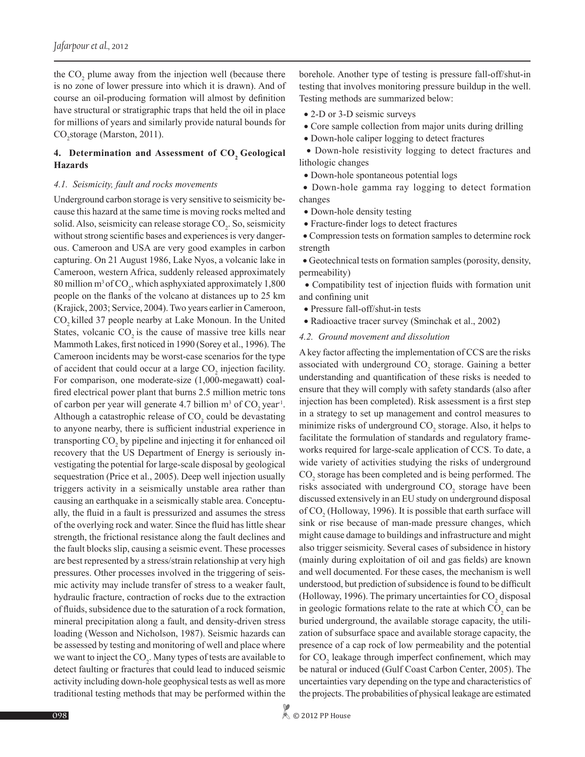the  $CO_2$  plume away from the injection well (because there is no zone of lower pressure into which it is drawn). And of course an oil-producing formation will almost by definition have structural or stratigraphic traps that held the oil in place for millions of years and similarly provide natural bounds for  $CO<sub>2</sub>$ storage (Marston, 2011).

## 4. Determination and Assessment of CO<sub>2</sub> Geological **Hazards**

#### *4.1. Seismicity, fault and rocks movements*

Underground carbon storage is very sensitive to seismicity because this hazard at the same time is moving rocks melted and solid. Also, seismicity can release storage  $CO<sub>2</sub>$ . So, seismicity without strong scientific bases and experiences is very dangerous. Cameroon and USA are very good examples in carbon capturing. On 21 August 1986, Lake Nyos, a volcanic lake in Cameroon, western Africa, suddenly released approximately 80 million m<sup>3</sup> of  $CO_2$ , which asphyxiated approximately 1,800 people on the flanks of the volcano at distances up to 25 km (Krajick, 2003; Service, 2004). Two years earlier in Cameroon, CO<sub>2</sub> killed 37 people nearby at Lake Monoun. In the United States, volcanic  $CO<sub>2</sub>$  is the cause of massive tree kills near Mammoth Lakes, first noticed in 1990 (Sorey et al., 1996). The Cameroon incidents may be worst-case scenarios for the type of accident that could occur at a large  $CO<sub>2</sub>$  injection facility. For comparison, one moderate-size (1,000-megawatt) coalfired electrical power plant that burns 2.5 million metric tons of carbon per year will generate 4.7 billion  $m^3$  of  $CO_2$  year<sup>1</sup>. Although a catastrophic release of  $CO<sub>2</sub>$  could be devastating to anyone nearby, there is sufficient industrial experience in transporting  $CO<sub>2</sub>$  by pipeline and injecting it for enhanced oil recovery that the US Department of Energy is seriously investigating the potential for large-scale disposal by geological sequestration (Price et al., 2005). Deep well injection usually triggers activity in a seismically unstable area rather than causing an earthquake in a seismically stable area. Conceptually, the fluid in a fault is pressurized and assumes the stress of the overlying rock and water. Since the fluid has little shear strength, the frictional resistance along the fault declines and the fault blocks slip, causing a seismic event. These processes are best represented by a stress/strain relationship at very high pressures. Other processes involved in the triggering of seismic activity may include transfer of stress to a weaker fault, hydraulic fracture, contraction of rocks due to the extraction of fluids, subsidence due to the saturation of a rock formation, mineral precipitation along a fault, and density-driven stress loading (Wesson and Nicholson, 1987). Seismic hazards can be assessed by testing and monitoring of well and place where we want to inject the  $CO_2$ . Many types of tests are available to detect faulting or fractures that could lead to induced seismic activity including down-hole geophysical tests as well as more traditional testing methods that may be performed within the

borehole. Another type of testing is pressure fall-off/shut-in testing that involves monitoring pressure buildup in the well. Testing methods are summarized below:

- 2-D or 3-D seismic surveys
- Core sample collection from major units during drilling
- Down-hole caliper logging to detect fractures

 • Down-hole resistivity logging to detect fractures and lithologic changes

• Down-hole spontaneous potential logs

 • Down-hole gamma ray logging to detect formation changes

- Down-hole density testing
- Fracture-finder logs to detect fractures

 • Compression tests on formation samples to determine rock strength

 • Geotechnical tests on formation samples (porosity, density, permeability)

 • Compatibility test of injection fluids with formation unit and confining unit

- Pressure fall-off/shut-in tests
- Radioactive tracer survey (Sminchak et al., 2002)
- *4.2. Ground movement and dissolution*

A key factor affecting the implementation of CCS are the risks associated with underground  $CO_2$  storage. Gaining a better understanding and quantification of these risks is needed to ensure that they will comply with safety standards (also after injection has been completed). Risk assessment is a first step in a strategy to set up management and control measures to minimize risks of underground  $CO_2$  storage. Also, it helps to facilitate the formulation of standards and regulatory frameworks required for large-scale application of CCS. To date, a wide variety of activities studying the risks of underground CO<sub>2</sub> storage has been completed and is being performed. The risks associated with underground  $CO_2$  storage have been discussed extensively in an EU study on underground disposal of  $CO<sub>2</sub>$  (Holloway, 1996). It is possible that earth surface will sink or rise because of man-made pressure changes, which might cause damage to buildings and infrastructure and might also trigger seismicity. Several cases of subsidence in history (mainly during exploitation of oil and gas fields) are known and well documented. For these cases, the mechanism is well understood, but prediction of subsidence is found to be difficult (Holloway, 1996). The primary uncertainties for  $CO<sub>2</sub>$  disposal in geologic formations relate to the rate at which  $CO<sub>2</sub>$  can be buried underground, the available storage capacity, the utilization of subsurface space and available storage capacity, the presence of a cap rock of low permeability and the potential for  $CO_2$  leakage through imperfect confinement, which may be natural or induced (Gulf Coast Carbon Center, 2005). The uncertainties vary depending on the type and characteristics of the projects. The probabilities of physical leakage are estimated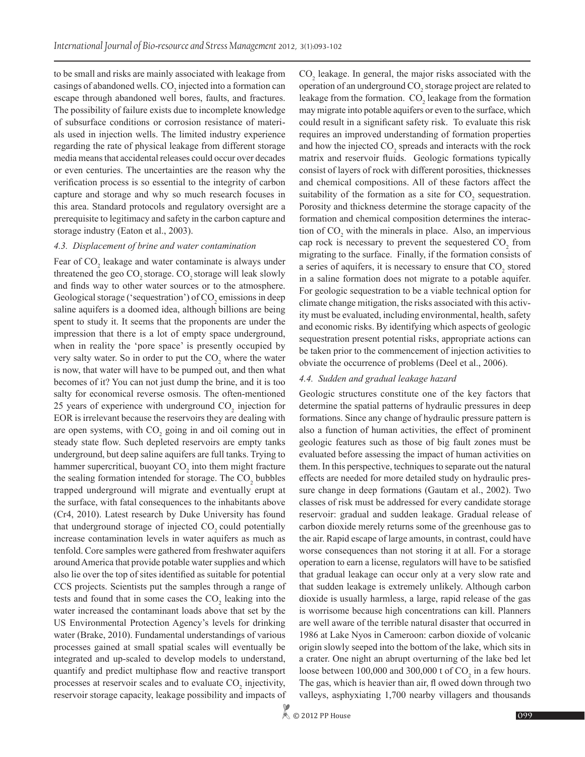to be small and risks are mainly associated with leakage from casings of abandoned wells.  $CO<sub>2</sub>$  injected into a formation can escape through abandoned well bores, faults, and fractures. The possibility of failure exists due to incomplete knowledge of subsurface conditions or corrosion resistance of materials used in injection wells. The limited industry experience regarding the rate of physical leakage from different storage media means that accidental releases could occur over decades or even centuries. The uncertainties are the reason why the verification process is so essential to the integrity of carbon capture and storage and why so much research focuses in this area. Standard protocols and regulatory oversight are a prerequisite to legitimacy and safety in the carbon capture and storage industry (Eaton et al., 2003).

#### *4.3. Displacement of brine and water contamination*

Fear of CO<sub>2</sub> leakage and water contaminate is always under threatened the geo CO<sub>2</sub> storage. CO<sub>2</sub> storage will leak slowly and finds way to other water sources or to the atmosphere. Geological storage ('sequestration') of  $CO<sub>2</sub>$  emissions in deep saline aquifers is a doomed idea, although billions are being spent to study it. It seems that the proponents are under the impression that there is a lot of empty space underground, when in reality the 'pore space' is presently occupied by very salty water. So in order to put the  $CO<sub>2</sub>$  where the water is now, that water will have to be pumped out, and then what becomes of it? You can not just dump the brine, and it is too salty for economical reverse osmosis. The often-mentioned 25 years of experience with underground  $CO<sub>2</sub>$  injection for EOR is irrelevant because the reservoirs they are dealing with are open systems, with  $CO_2$  going in and oil coming out in steady state flow. Such depleted reservoirs are empty tanks underground, but deep saline aquifers are full tanks. Trying to hammer supercritical, buoyant  $CO<sub>2</sub>$  into them might fracture the sealing formation intended for storage. The  $CO<sub>2</sub>$  bubbles trapped underground will migrate and eventually erupt at the surface, with fatal consequences to the inhabitants above (Cr4, 2010). Latest research by Duke University has found that underground storage of injected  $CO$ , could potentially increase contamination levels in water aquifers as much as tenfold. Core samples were gathered from freshwater aquifers around America that provide potable water supplies and which also lie over the top of sites identified as suitable for potential CCS projects. Scientists put the samples through a range of tests and found that in some cases the  $CO<sub>2</sub>$  leaking into the water increased the contaminant loads above that set by the US Environmental Protection Agency's levels for drinking water (Brake, 2010). Fundamental understandings of various processes gained at small spatial scales will eventually be integrated and up-scaled to develop models to understand, quantify and predict multiphase flow and reactive transport processes at reservoir scales and to evaluate  $CO_2$  injectivity, reservoir storage capacity, leakage possibility and impacts of

 $CO<sub>2</sub>$  leakage. In general, the major risks associated with the operation of an underground  $\mathrm{CO}_2$  storage project are related to leakage from the formation.  $CO_2$  leakage from the formation may migrate into potable aquifers or even to the surface, which could result in a significant safety risk. To evaluate this risk requires an improved understanding of formation properties and how the injected  $CO_2$  spreads and interacts with the rock matrix and reservoir fluids. Geologic formations typically consist of layers of rock with different porosities, thicknesses and chemical compositions. All of these factors affect the suitability of the formation as a site for  $CO_2$  sequestration. Porosity and thickness determine the storage capacity of the formation and chemical composition determines the interaction of  $CO_2$  with the minerals in place. Also, an impervious cap rock is necessary to prevent the sequestered  $CO<sub>2</sub>$  from migrating to the surface. Finally, if the formation consists of a series of aquifers, it is necessary to ensure that  $CO<sub>2</sub>$  stored in a saline formation does not migrate to a potable aquifer. For geologic sequestration to be a viable technical option for climate change mitigation, the risks associated with this activity must be evaluated, including environmental, health, safety and economic risks. By identifying which aspects of geologic sequestration present potential risks, appropriate actions can be taken prior to the commencement of injection activities to obviate the occurrence of problems (Deel et al., 2006).

#### *4.4. Sudden and gradual leakage hazard*

Geologic structures constitute one of the key factors that determine the spatial patterns of hydraulic pressures in deep formations. Since any change of hydraulic pressure pattern is also a function of human activities, the effect of prominent geologic features such as those of big fault zones must be evaluated before assessing the impact of human activities on them. In this perspective, techniques to separate out the natural effects are needed for more detailed study on hydraulic pressure change in deep formations (Gautam et al., 2002). Two classes of risk must be addressed for every candidate storage reservoir: gradual and sudden leakage. Gradual release of carbon dioxide merely returns some of the greenhouse gas to the air. Rapid escape of large amounts, in contrast, could have worse consequences than not storing it at all. For a storage operation to earn a license, regulators will have to be satisfied that gradual leakage can occur only at a very slow rate and that sudden leakage is extremely unlikely. Although carbon dioxide is usually harmless, a large, rapid release of the gas is worrisome because high concentrations can kill. Planners are well aware of the terrible natural disaster that occurred in 1986 at Lake Nyos in Cameroon: carbon dioxide of volcanic origin slowly seeped into the bottom of the lake, which sits in a crater. One night an abrupt overturning of the lake bed let loose between  $100,000$  and  $300,000$  t of  $CO_2$  in a few hours. The gas, which is heavier than air, fl owed down through two valleys, asphyxiating 1,700 nearby villagers and thousands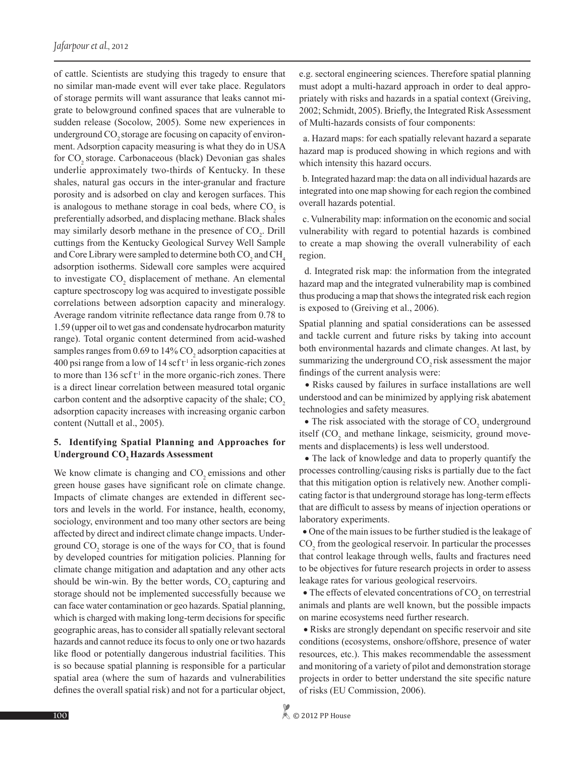of cattle. Scientists are studying this tragedy to ensure that no similar man-made event will ever take place. Regulators of storage permits will want assurance that leaks cannot migrate to belowground confined spaces that are vulnerable to sudden release (Socolow, 2005). Some new experiences in underground CO<sub>2</sub> storage are focusing on capacity of environment. Adsorption capacity measuring is what they do in USA for CO<sub>2</sub> storage. Carbonaceous (black) Devonian gas shales underlie approximately two-thirds of Kentucky. In these shales, natural gas occurs in the inter-granular and fracture porosity and is adsorbed on clay and kerogen surfaces. This is analogous to methane storage in coal beds, where  $CO<sub>2</sub>$  is preferentially adsorbed, and displacing methane. Black shales may similarly desorb methane in the presence of  $CO<sub>2</sub>$ . Drill cuttings from the Kentucky Geological Survey Well Sample and Core Library were sampled to determine both  $\mathrm{CO}_2^{\vphantom{\dagger}}$  and  $\mathrm{CH}_4^{\vphantom{\dagger}}$ adsorption isotherms. Sidewall core samples were acquired to investigate  $CO<sub>2</sub>$  displacement of methane. An elemental capture spectroscopy log was acquired to investigate possible correlations between adsorption capacity and mineralogy. Average random vitrinite reflectance data range from 0.78 to 1.59 (upper oil to wet gas and condensate hydrocarbon maturity range). Total organic content determined from acid-washed samples ranges from  $0.69$  to  $14\%$  CO<sub>2</sub> adsorption capacities at 400 psi range from a low of  $14$  scf  $t<sup>1</sup>$  in less organic-rich zones to more than  $136$  scf  $t<sup>-1</sup>$  in the more organic-rich zones. There is a direct linear correlation between measured total organic carbon content and the adsorptive capacity of the shale; CO<sub>2</sub> adsorption capacity increases with increasing organic carbon content (Nuttall et al., 2005).

## **5. Identifying Spatial Planning and Approaches for Underground CO<sub>2</sub> Hazards Assessment**

We know climate is changing and  $CO<sub>2</sub>$  emissions and other green house gases have significant role on climate change. Impacts of climate changes are extended in different sectors and levels in the world. For instance, health, economy, sociology, environment and too many other sectors are being affected by direct and indirect climate change impacts. Underground  $CO_2$  storage is one of the ways for  $CO_2$  that is found by developed countries for mitigation policies. Planning for climate change mitigation and adaptation and any other acts should be win-win. By the better words,  $CO<sub>2</sub>$  capturing and storage should not be implemented successfully because we can face water contamination or geo hazards. Spatial planning, which is charged with making long-term decisions for specific geographic areas, has to consider all spatially relevant sectoral hazards and cannot reduce its focus to only one or two hazards like flood or potentially dangerous industrial facilities. This is so because spatial planning is responsible for a particular spatial area (where the sum of hazards and vulnerabilities defines the overall spatial risk) and not for a particular object,

e.g. sectoral engineering sciences. Therefore spatial planning must adopt a multi-hazard approach in order to deal appropriately with risks and hazards in a spatial context (Greiving, 2002; Schmidt, 2005). Briefly, the Integrated Risk Assessment of Multi-hazards consists of four components:

 a. Hazard maps: for each spatially relevant hazard a separate hazard map is produced showing in which regions and with which intensity this hazard occurs.

 b. Integrated hazard map: the data on all individual hazards are integrated into one map showing for each region the combined overall hazards potential.

 c. Vulnerability map: information on the economic and social vulnerability with regard to potential hazards is combined to create a map showing the overall vulnerability of each region.

 d. Integrated risk map: the information from the integrated hazard map and the integrated vulnerability map is combined thus producing a map that shows the integrated risk each region is exposed to (Greiving et al., 2006).

Spatial planning and spatial considerations can be assessed and tackle current and future risks by taking into account both environmental hazards and climate changes. At last, by summarizing the underground CO<sub>2</sub> risk assessment the major findings of the current analysis were:

 • Risks caused by failures in surface installations are well understood and can be minimized by applying risk abatement technologies and safety measures.

 $\bullet$  The risk associated with the storage of  $\mathrm{CO}_2$  underground itself  $(CO<sub>2</sub>$  and methane linkage, seismicity, ground movements and displacements) is less well understood.

• The lack of knowledge and data to properly quantify the processes controlling/causing risks is partially due to the fact that this mitigation option is relatively new. Another complicating factor is that underground storage has long-term effects that are difficult to assess by means of injection operations or laboratory experiments.

 • One of the main issues to be further studied is the leakage of  $\mathrm{CO}_2$  from the geological reservoir. In particular the processes that control leakage through wells, faults and fractures need to be objectives for future research projects in order to assess leakage rates for various geological reservoirs.

 $\bullet$  The effects of elevated concentrations of  $\mathrm{CO}_2$  on terrestrial animals and plants are well known, but the possible impacts on marine ecosystems need further research.

 • Risks are strongly dependant on specific reservoir and site conditions (ecosystems, onshore/offshore, presence of water resources, etc.). This makes recommendable the assessment and monitoring of a variety of pilot and demonstration storage projects in order to better understand the site specific nature of risks (EU Commission, 2006).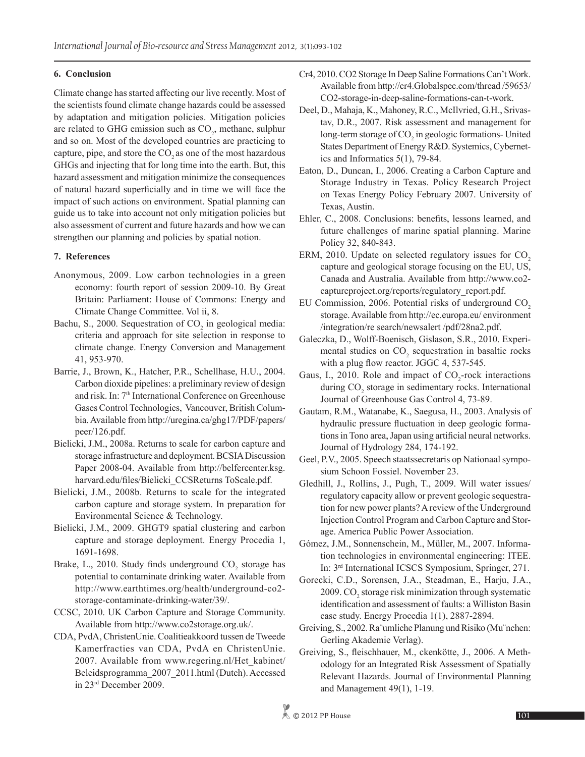## **6. Conclusion**

Climate change has started affecting our live recently. Most of the scientists found climate change hazards could be assessed by adaptation and mitigation policies. Mitigation policies are related to GHG emission such as  $CO<sub>2</sub>$ , methane, sulphur and so on. Most of the developed countries are practicing to capture, pipe, and store the  $CO<sub>2</sub>$  as one of the most hazardous GHGs and injecting that for long time into the earth. But, this hazard assessment and mitigation minimize the consequences of natural hazard superficially and in time we will face the impact of such actions on environment. Spatial planning can guide us to take into account not only mitigation policies but also assessment of current and future hazards and how we can strengthen our planning and policies by spatial notion.

# **7. References**

- Anonymous, 2009. Low carbon technologies in a green economy: fourth report of session 2009-10. By Great Britain: Parliament: House of Commons: Energy and Climate Change Committee. Vol ii, 8.
- Bachu, S., 2000. Sequestration of  $CO<sub>2</sub>$  in geological media: criteria and approach for site selection in response to climate change. Energy Conversion and Management 41, 953-970.
- Barrie, J., Brown, K., Hatcher, P.R., Schellhase, H.U., 2004. Carbon dioxide pipelines: a preliminary review of design and risk. In: 7th International Conference on Greenhouse Gases Control Technologies, Vancouver, British Columbia. Available from http://uregina.ca/ghg17/PDF/papers/ peer/126.pdf.
- Bielicki, J.M., 2008a. Returns to scale for carbon capture and storage infrastructure and deployment. BCSIA Discussion Paper 2008-04. Available from http://belfercenter.ksg. harvard.edu/files/Bielicki\_CCSReturns ToScale.pdf.
- Bielicki, J.M., 2008b. Returns to scale for the integrated carbon capture and storage system. In preparation for Environmental Science & Technology*.*
- Bielicki, J.M., 2009. GHGT9 spatial clustering and carbon capture and storage deployment. Energy Procedia 1, 1691-1698.
- Brake, L., 2010. Study finds underground  $CO_2$  storage has potential to contaminate drinking water. Available from http://www.earthtimes.org/health/underground-co2 storage-contaminate-drinking-water/39/.
- CCSC, 2010. UK Carbon Capture and Storage Community. Available from http://www.co2storage.org.uk/.
- CDA, PvdA, ChristenUnie. Coalitieakkoord tussen de Tweede Kamerfracties van CDA, PvdA en ChristenUnie. 2007. Available from www.regering.nl/Het\_kabinet/ Beleidsprogramma\_2007\_2011.html (Dutch). Accessed in 23rd December 2009.
- Cr4, 2010. CO2 Storage In Deep Saline Formations Can't Work. Available from http://cr4.Globalspec.com/thread /59653/ CO2-storage-in-deep-saline-formations-can-t-work.
- Deel, D., Mahaja, K., Mahoney, R.C., McIlvried, G.H., Srivastav, D.R., 2007. Risk assessment and management for long-term storage of  $CO<sub>2</sub>$  in geologic formations- United States Department of Energy R&D. Systemics, Cybernetics and Informatics 5(1), 79-84.
- Eaton, D., Duncan, I., 2006. Creating a Carbon Capture and Storage Industry in Texas. Policy Research Project on Texas Energy Policy February 2007. University of Texas, Austin.
- Ehler, C., 2008. Conclusions: benefits, lessons learned, and future challenges of marine spatial planning. Marine Policy 32, 840-843.
- ERM,  $2010$ . Update on selected regulatory issues for  $CO<sub>2</sub>$ capture and geological storage focusing on the EU, US, Canada and Australia. Available from http://www.co2 captureproject.org/reports/regulatory\_report.pdf.
- EU Commission,  $2006$ . Potential risks of underground  $CO<sub>2</sub>$ storage. Available from http://ec.europa.eu/ environment /integration/re search/newsalert /pdf/28na2.pdf.
- Galeczka, D., Wolff-Boenisch, Gislason, S.R., 2010. Experimental studies on  $CO<sub>2</sub>$  sequestration in basaltic rocks with a plug flow reactor. JGGC 4, 537-545.
- Gaus, I., 2010. Role and impact of  $CO_2$ -rock interactions during  $CO<sub>2</sub>$  storage in sedimentary rocks. International Journal of Greenhouse Gas Control 4, 73-89.
- Gautam, R.M., Watanabe, K., Saegusa, H., 2003. Analysis of hydraulic pressure fluctuation in deep geologic formations in Tono area, Japan using artificial neural networks. Journal of Hydrology 284, 174-192.
- Geel, P.V., 2005. Speech staatssecretaris op Nationaal symposium Schoon Fossiel. November 23.
- Gledhill, J., Rollins, J., Pugh, T., 2009. Will water issues/ regulatory capacity allow or prevent geologic sequestration for new power plants? A review of the Underground Injection Control Program and Carbon Capture and Storage. America Public Power Association.
- Gómez, J.M., Sonnenschein, M., Müller, M., 2007. Information technologies in environmental engineering: ITEE. In: 3rd International ICSCS Symposium, Springer, 271.
- Gorecki, C.D., Sorensen, J.A., Steadman, E., Harju, J.A., 2009.  $\mathrm{CO}_2$  storage risk minimization through systematic identification and assessment of faults: a Williston Basin case study. Energy Procedia 1(1), 2887-2894.
- Greiving, S., 2002. Ra¨umliche Planung und Risiko (Mu¨nchen: Gerling Akademie Verlag).
- Greiving, S., fleischhauer, M., ckenkötte, J., 2006. A Methodology for an Integrated Risk Assessment of Spatially Relevant Hazards. Journal of Environmental Planning and Management 49(1), 1-19.